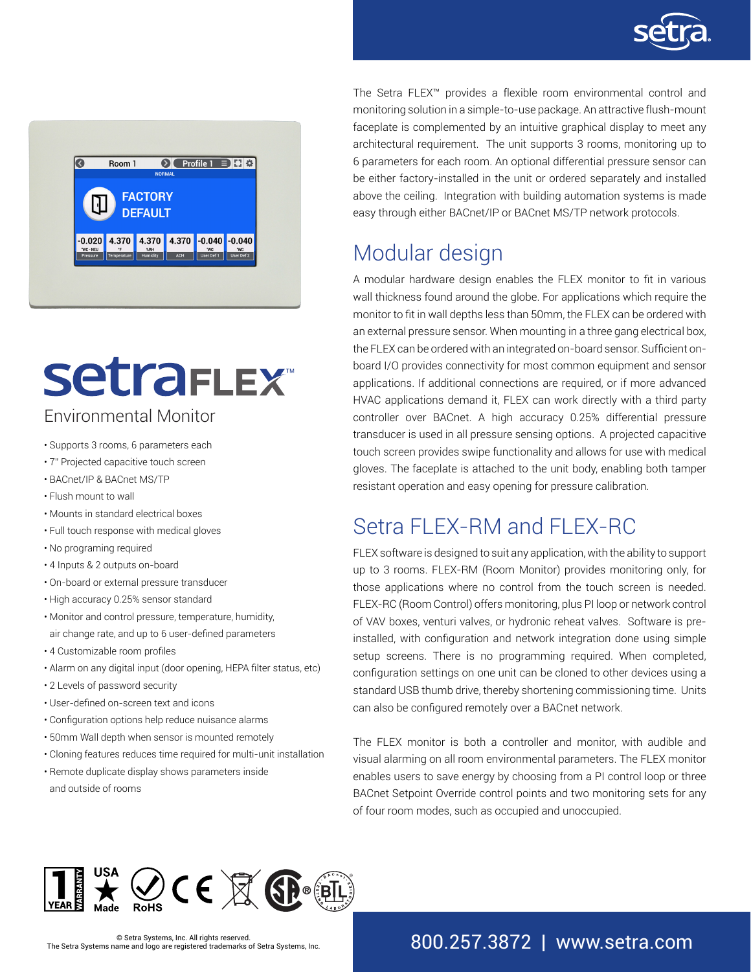



# **SetraFLEX** Environmental Monitor

- Supports 3 rooms, 6 parameters each
- 7" Projected capacitive touch screen
- BACnet/IP & BACnet MS/TP
- Flush mount to wall
- Mounts in standard electrical boxes
- Full touch response with medical gloves
- No programing required
- 4 Inputs & 2 outputs on-board
- On-board or external pressure transducer
- High accuracy 0.25% sensor standard
- Monitor and control pressure, temperature, humidity, air change rate, and up to 6 user-defined parameters
- 4 Customizable room profiles
- Alarm on any digital input (door opening, HEPA filter status, etc)
- 2 Levels of password security
- User-defined on-screen text and icons
- Configuration options help reduce nuisance alarms
- 50mm Wall depth when sensor is mounted remotely
- Cloning features reduces time required for multi-unit installation
- Remote duplicate display shows parameters inside and outside of rooms

The Setra FLEX™ provides a flexible room environmental control and monitoring solution in a simple-to-use package. An attractive flush-mount faceplate is complemented by an intuitive graphical display to meet any architectural requirement. The unit supports 3 rooms, monitoring up to 6 parameters for each room. An optional differential pressure sensor can be either factory-installed in the unit or ordered separately and installed above the ceiling. Integration with building automation systems is made easy through either BACnet/IP or BACnet MS/TP network protocols.

# Modular design

A modular hardware design enables the FLEX monitor to fit in various wall thickness found around the globe. For applications which require the monitor to fit in wall depths less than 50mm, the FLEX can be ordered with an external pressure sensor. When mounting in a three gang electrical box, the FLEX can be ordered with an integrated on-board sensor. Sufficient onboard I/O provides connectivity for most common equipment and sensor applications. If additional connections are required, or if more advanced HVAC applications demand it, FLEX can work directly with a third party controller over BACnet. A high accuracy 0.25% differential pressure transducer is used in all pressure sensing options. A projected capacitive touch screen provides swipe functionality and allows for use with medical gloves. The faceplate is attached to the unit body, enabling both tamper resistant operation and easy opening for pressure calibration.

# Setra FLEX-RM and FLEX-RC

FLEX software is designed to suit any application, with the ability to support up to 3 rooms. FLEX-RM (Room Monitor) provides monitoring only, for those applications where no control from the touch screen is needed. FLEX-RC (Room Control) offers monitoring, plus PI loop or network control of VAV boxes, venturi valves, or hydronic reheat valves. Software is preinstalled, with configuration and network integration done using simple setup screens. There is no programming required. When completed, configuration settings on one unit can be cloned to other devices using a standard USB thumb drive, thereby shortening commissioning time. Units can also be configured remotely over a BACnet network.

The FLEX monitor is both a controller and monitor, with audible and visual alarming on all room environmental parameters. The FLEX monitor enables users to save energy by choosing from a PI control loop or three BACnet Setpoint Override control points and two monitoring sets for any of four room modes, such as occupied and unoccupied.



### 800.257.3872 | www.setra.com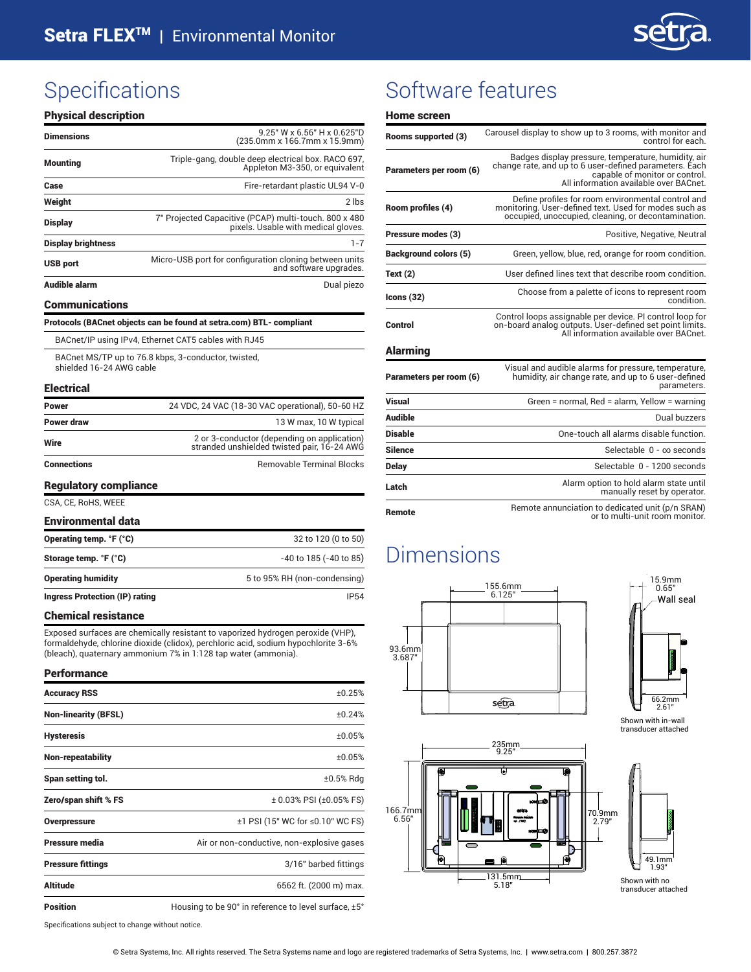

| <b>Physical description</b> |                                                                                              |
|-----------------------------|----------------------------------------------------------------------------------------------|
| <b>Dimensions</b>           | 9.25" W x 6.56" H x 0.625"D<br>(235.0mm x 166.7mm x 15.9mm)                                  |
| <b>Mounting</b>             | Triple-gang, double deep electrical box. RACO 697,<br>Appleton M3-350, or equivalent         |
| Case                        | Fire-retardant plastic UL94 V-0                                                              |
| Weight                      | 2 lbs                                                                                        |
| <b>Display</b>              | 7" Projected Capacitive (PCAP) multi-touch. 800 x 480<br>pixels. Usable with medical gloves. |
| <b>Display brightness</b>   | $1 - 7$                                                                                      |
| <b>USB port</b>             | Micro-USB port for configuration cloning between units<br>and software upgrades.             |
| <b>Audible alarm</b>        | Dual piezo                                                                                   |
| <b>Communications</b>       |                                                                                              |
|                             | Protocols (BACnet objects can be found at setra.com) BTL- compliant                          |
|                             | BACnet/IP using IPv4, Ethernet CAT5 cables with RJ45                                         |
| shielded 16-24 AWG cable    | BACnet MS/TP up to 76.8 kbps, 3-conductor, twisted,                                          |
| <b>Electrical</b>           |                                                                                              |
| Power                       | 24 VDC, 24 VAC (18-30 VAC operational), 50-60 HZ                                             |
| Power draw                  | 13 W max, 10 W typical                                                                       |
| Wire                        | 2 or 3-conductor (depending on application)<br>stranded unshielded twisted pair, 16-24 AWG   |
| Connections                 | <b>Removable Terminal Blocks</b>                                                             |

#### Regulatory compliance

#### CSA, CE, RoHS, WEEE

| <b>Environmental data</b>      |                              |
|--------------------------------|------------------------------|
| Operating temp. °F (°C)        | 32 to 120 (0 to 50)          |
| Storage temp. °F (°C)          | $-40$ to 185 ( $-40$ to 85)  |
| <b>Operating humidity</b>      | 5 to 95% RH (non-condensing) |
| Ingress Protection (IP) rating | IP54                         |

#### Chemical resistance

Exposed surfaces are chemically resistant to vaporized hydrogen peroxide (VHP), formaldehyde, chlorine dioxide (clidox), perchloric acid, sodium hypochlorite 3-6% (bleach), quaternary ammonium 7% in 1:128 tap water (ammonia).

### Performance Accuracy RSS  $\pm 0.25\%$ Non-linearity (BFSL)  $\pm 0.24\%$ Hysteresis ±0.05% Non-repeatability ±0.05% Span setting tol.  $\pm 0.5\%$  Rdg Zero/span shift % FS  $\pm 0.03\%$  PSI  $(\pm 0.05\%$  FS) Overpressure **distribution** to the total to the total to the total to the total to the total to the total to the total to the total to the total to the total to the total to the total to the total to the total to the tota **Pressure media** Air or non-conductive, non-explosive gases **Pressure fittings CONTERNATION Pressure fittings CONTERNATION 3/16**" barbed fittings Altitude 6562 ft. (2000 m) max. **Position** Housing to be 90° in reference to level surface,  $\pm 5^{\circ}$

Specifications subject to change without notice.

### Specifications Software features

#### Home screen

| Rooms supported (3)          | Carousel display to show up to 3 rooms, with monitor and<br>control for each.                                                                                                             |  |  |  |  |
|------------------------------|-------------------------------------------------------------------------------------------------------------------------------------------------------------------------------------------|--|--|--|--|
| Parameters per room (6)      | Badges display pressure, temperature, humidity, air<br>change rate, and up to 6 user-defined parameters. Each<br>capable of monitor or control.<br>All information available over BACnet. |  |  |  |  |
| Room profiles (4)            | Define profiles for room environmental control and<br>monitoring. User-defined text. Used for modes such as<br>occupied, unoccupied, cleaning, or decontamination.                        |  |  |  |  |
| Pressure modes (3)           | Positive, Negative, Neutral                                                                                                                                                               |  |  |  |  |
| <b>Background colors (5)</b> | Green, yellow, blue, red, orange for room condition.                                                                                                                                      |  |  |  |  |
| Text $(2)$                   | User defined lines text that describe room condition.                                                                                                                                     |  |  |  |  |
| lcons(32)                    | Choose from a palette of icons to represent room<br>condition.                                                                                                                            |  |  |  |  |
| Control                      | Control loops assignable per device. PI control loop for<br>on-board analog outputs. User-defined set point limits.<br>All information available over BACnet.                             |  |  |  |  |
| <b>Alarming</b>              |                                                                                                                                                                                           |  |  |  |  |
| Parameters per room (6)      | Visual and audible alarms for pressure, temperature,<br>humidity, air change rate, and up to 6 user-defined<br>parameters.                                                                |  |  |  |  |
| Visual                       | Green = normal, Red = alarm, Yellow = warning                                                                                                                                             |  |  |  |  |
| <b>Audible</b>               | Dual buzzers                                                                                                                                                                              |  |  |  |  |
| <b>Disable</b>               | One-touch all alarms disable function.                                                                                                                                                    |  |  |  |  |
| <b>Silence</b>               | Selectable $0 - \infty$ seconds                                                                                                                                                           |  |  |  |  |
| <b>Delay</b>                 | Selectable 0 - 1200 seconds                                                                                                                                                               |  |  |  |  |
| Latch                        | Alarm option to hold alarm state until<br>manually reset by operator.                                                                                                                     |  |  |  |  |
| Remote                       | Remote annunciation to dedicated unit (p/n SRAN)<br>or to multi-unit room monitor.                                                                                                        |  |  |  |  |

### Dimensions





Shown with in-wall transducer attached



© Setra Systems, Inc. All rights reserved. The Setra Systems name and logo are registered trademarks of Setra Systems, Inc. | www.setra.com | 800.257.3872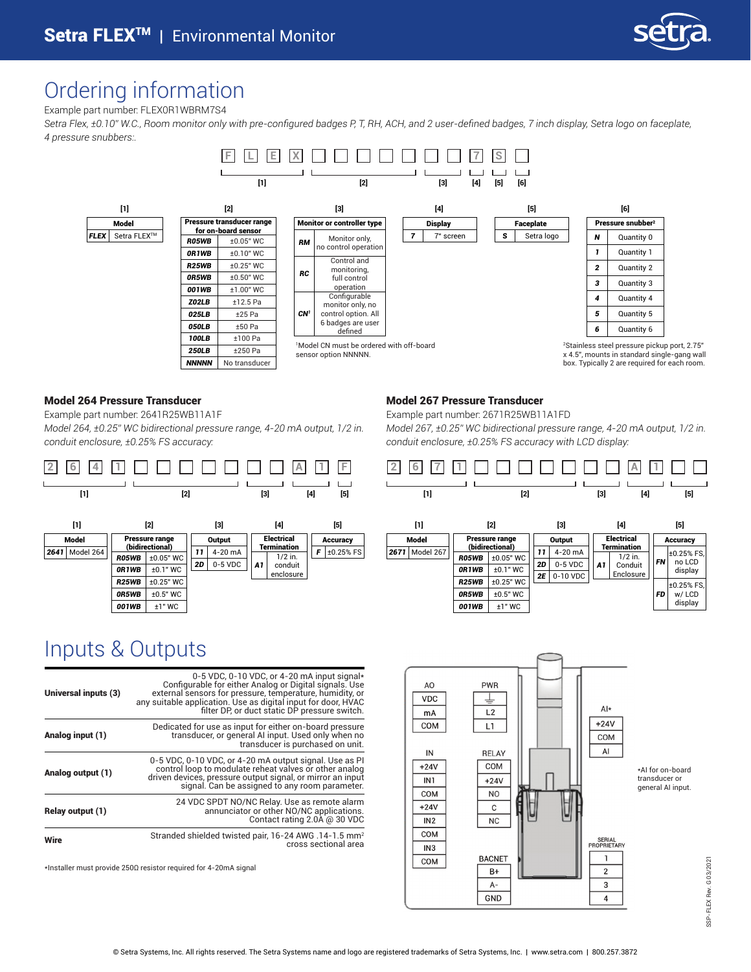

### Ordering information

Example part number: FLEX0R1WBRM7S4

Setra Flex, ±0.10" W.C., Room monitor only with pre-configured badges P, T, RH, ACH, and 2 user-defined badges, 7 inch display, Setra logo on faceplate, *4 pressure snubbers:.*



#### Model 264 Pressure Transducer

Example part number: 2641R25WB11A1F

*Model 264, ±0.25" WC bidirectional pressure range, 4-20 mA output, 1/2 in. conduit enclosure, ±0.25% FS accuracy:* 



### Model 267 Pressure Transducer

Example part number: 2671R25WB11A1FD

*Model 267, ±0.25" WC bidirectional pressure range, 4-20 mA output, 1/2 in. conduit enclosure, ±0.25% FS accuracy with LCD display:*



|              | [1]       | [2]                               |             |    | [3]       |    | [4]                      |                 | $[5]$             |
|--------------|-----------|-----------------------------------|-------------|----|-----------|----|--------------------------|-----------------|-------------------|
| <b>Model</b> |           | Pressure range<br>(bidirectional) |             |    | Output    |    | <b>Electrical</b>        | <b>Accuracy</b> |                   |
| 2671         | Model 267 | <b>R05WB</b>                      | $±0.05"$ WC | 11 | 4-20 mA   |    | Termination<br>$1/2$ in. |                 | ±0.25% FS,        |
|              |           | 0R1WB                             | $±0.1"$ WC  | 2D | $0-5$ VDC | A1 | Conduit<br>Enclosure     | <b>FN</b>       | no LCD<br>display |
|              |           | <b>R25WB</b>                      | $±0.25"$ WC | 2E | 0-10 VDC  |    |                          |                 | ±0.25% FS.        |
|              |           | 0R5WB                             | $±0.5"$ WC  |    |           |    |                          | FD              | w/ LCD            |
|              |           | 001WB                             | $±1"$ WC    |    |           |    |                          |                 | display           |

#### AO **PWR VDC** ⊥  $Al*$  $L2$ mA  $+24V$ COM L1 COM  $\mathsf{Al}\hspace{0.04cm}$ IN **RFI AY** COM  $+24V$ IN<sub>1</sub>  $+24V$ COM **NO**  $+24V$  $\mathbf{C}$  $IN2$  $NC$ COM SERIAL<br>PROPRIETARY  $IN3$ **BACNET**  $\mathbf{1}$ COM  $\overline{2}$  $B+$  $A \mathsf 3$ GND  $\overline{4}$

\*AI for on-board transducer or general AI input.

> SSP-FLEX Rev. G 03/2021 SSP-FLEX Rev. G 03/2021

### Inputs & Outputs

| Universal inputs (3) | 0-5 VDC, 0-10 VDC, or 4-20 mA input signal*<br>Configurable for either Analog or Digital signals. Use<br>external sensors for pressure, temperature, humidity, or<br>any suitable application. Use as digital input for door, HVAC<br>filter DP, or duct static DP pressure switch. |
|----------------------|-------------------------------------------------------------------------------------------------------------------------------------------------------------------------------------------------------------------------------------------------------------------------------------|
| Analog input (1)     | Dedicated for use as input for either on-board pressure<br>transducer, or general AI input. Used only when no<br>transducer is purchased on unit.                                                                                                                                   |
| Analog output (1)    | 0-5 VDC, 0-10 VDC, or 4-20 mA output signal. Use as PI<br>control loop to modulate reheat valves or other analog<br>driven devices, pressure output signal, or mirror an input<br>signal. Can be assigned to any room parameter.                                                    |
| Relay output (1)     | 24 VDC SPDT NO/NC Relay. Use as remote alarm<br>annunciator or other NO/NC applications.<br>Contact rating 2.0A @ 30 VDC                                                                                                                                                            |
| Wire                 | Stranded shielded twisted pair, 16-24 AWG .14-1.5 mm <sup>2</sup><br>cross sectional area                                                                                                                                                                                           |

\*Installer must provide 250Ω resistor required for 4-20mA signal